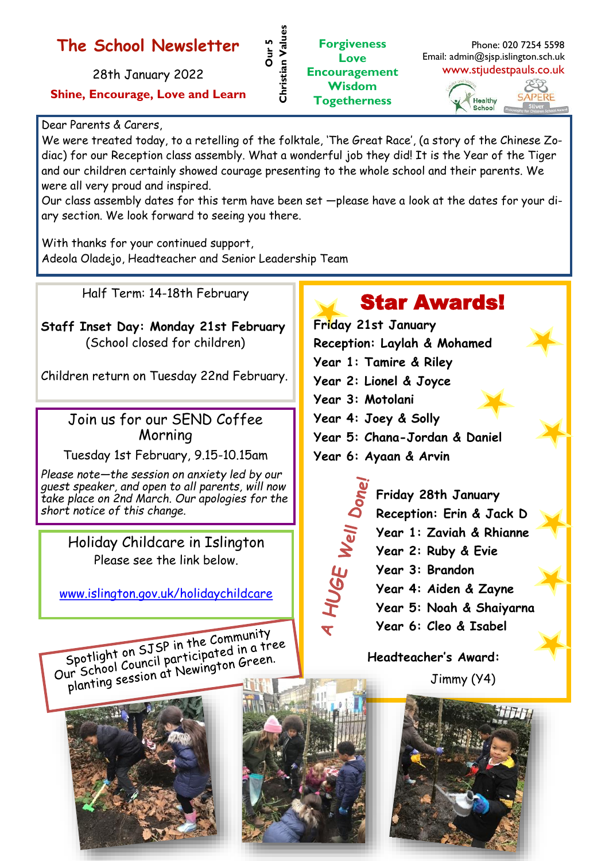## **The School Newsletter**

28th January 2022

**Shine, Encourage, Love and Learn**

## Dear Parents & Carers,

We were treated today, to a retelling of the folktale, 'The Great Race', (a story of the Chinese Zodiac) for our Reception class assembly. What a wonderful job they did! It is the Year of the Tiger and our children certainly showed courage presenting to the whole school and their parents. We were all very proud and inspired.

**Our 5** 

**Christian Values**

Christian Value

**Forgiveness Love**

**Wisdom Togetherness**

Our class assembly dates for this term have been set —please have a look at the dates for your diary section. We look forward to seeing you there.

With thanks for your continued support, Adeola Oladejo, Headteacher and Senior Leadership Team

Half Term: 14-18th February

**Staff Inset Day: Monday 21st February**  (School closed for children)

Children return on Tuesday 22nd February.

## Join us for our SEND Coffee Morning

Tuesday 1st February, 9.15-10.15am

*Please note—the session on anxiety led by our guest speaker, and open to all parents, will now take place on 2nd March. Our apologies for the short notice of this change.*

> Holiday Childcare in Islington Please see the link below.

[www.islington.gov.uk/holidaychildcare](https://directory.islington.gov.uk/kb5/islington/directory/advice.page?id=_Lh9F-43XRk)

Spotlight on SJSP in the Community<br>Spotlight on SJSP in the Community Spotlight on SJSP in the Community<br>Our School Council participated in a tree<br>Our School Council participated in Green. Spotlight on 5J Br m. ricipated in a neglection.<br>ur School Council participated in a neglection.





## Star Awards!

**Friday 21st January Reception: Laylah & Mohamed Year 1: Tamire & Riley Year 2: Lionel & Joyce Year 3: Motolani Year 4: Joey & Solly Year 5: Chana-Jordan & Daniel Year 6: Ayaan & Arvin Friday 28th January** 4 HUGE Well Don **Reception: Erin & Jack D**

- **Year 1: Zaviah & Rhianne**
- **Year 2: Ruby & Evie**
- **Year 3: Brandon Year 4: Aiden & Zayne**
	- **Year 5: Noah & Shaiyarna**
	- **Year 6: Cleo & Isabel**

**Headteacher's Award:** 

Jimmy (Y4)





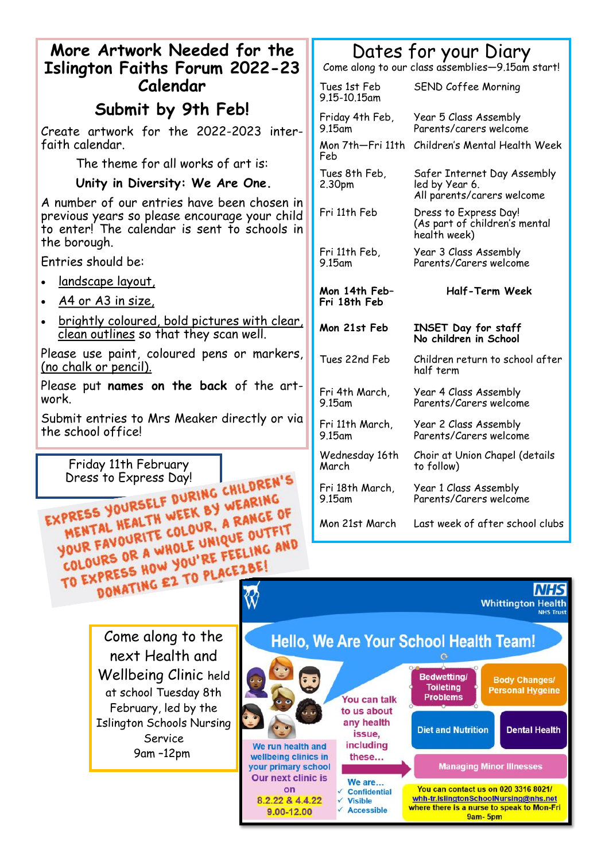| More Artwork Needed for the                                                                                                                                  | Dates for your Diary                                                                                                                                                                                     |
|--------------------------------------------------------------------------------------------------------------------------------------------------------------|----------------------------------------------------------------------------------------------------------------------------------------------------------------------------------------------------------|
| <b>Islington Faiths Forum 2022-23</b>                                                                                                                        | Come along to our class assemblies-9.15am start!                                                                                                                                                         |
| Calendar                                                                                                                                                     | SEND Coffee Morning<br>Tues 1st Feb<br>9.15-10.15am                                                                                                                                                      |
| Submit by 9th Feb!                                                                                                                                           | Year 5 Class Assembly<br>Friday 4th Feb,                                                                                                                                                                 |
| Create artwork for the 2022-2023 inter-<br>faith calendar.                                                                                                   | Parents/carers welcome<br>9.15 <sub>am</sub><br>Mon 7th-Fri 11th Children's Mental Health Week                                                                                                           |
| The theme for all works of art is:                                                                                                                           | Feb                                                                                                                                                                                                      |
| Unity in Diversity: We Are One.                                                                                                                              | Tues 8th Feb,<br>Safer Internet Day Assembly<br>2.30pm<br>led by Year 6.                                                                                                                                 |
| A number of our entries have been chosen in<br>previous years so please encourage your child<br>to enter! The calendar is sent to schools in<br>the borough. | All parents/carers welcome<br>Fri 11th Feb<br>Dress to Express Day!<br>(As part of children's mental<br>health week)                                                                                     |
| Entries should be:                                                                                                                                           | Fri 11th Feb,<br>Year 3 Class Assembly<br>Parents/Carers welcome<br>$9.15$ am                                                                                                                            |
| <u>landscape layout,</u>                                                                                                                                     |                                                                                                                                                                                                          |
| <u>A4 or A3 in size,</u>                                                                                                                                     | <b>Half-Term Week</b><br>Mon 14th Feb-<br>Fri 18th Feb                                                                                                                                                   |
| brightly coloured, bold pictures with clear,<br>clean outlines so that they scan well.                                                                       | Mon 21st Feb<br>INSET Day for staff<br>No children in School                                                                                                                                             |
| Please use paint, coloured pens or markers,<br><u>(no chalk or pencil).</u>                                                                                  | Tues 22nd Feb<br>Children return to school after<br>half term                                                                                                                                            |
| Please put names on the back of the art-<br>work.                                                                                                            | Fri 4th March,<br>Year 4 Class Assembly<br>9.15am<br>Parents/Carers welcome                                                                                                                              |
| Submit entries to Mrs Meaker directly or via<br>the school office!                                                                                           | Fri 11th March,<br>Year 2 Class Assembly<br>9.15am<br>Parents/Carers welcome                                                                                                                             |
| Friday 11th February                                                                                                                                         | Wednesday 16th<br>Choir at Union Chapel (details<br>March<br>to follow)                                                                                                                                  |
| EXPRESS YOURSELF DURING CHILDREN'S                                                                                                                           | Fri 18th March,<br>Year 1 Class Assembly<br>9.15am<br>Parents/Carers welcome                                                                                                                             |
| MENTAL HEALTH WEEK BY WEARING<br>YOUR FAVOURITE COLOUR, A RANGE OF                                                                                           | Mon 21st March<br>Last week of after school clubs                                                                                                                                                        |
| COLOURS OR A WHOLE UNIQUE OUTFIT<br>TO EXPRESS HOW YOU'RE FEELING AND                                                                                        |                                                                                                                                                                                                          |
| DONATING EZ TO PLACEZBE!<br><b>NHS</b>                                                                                                                       |                                                                                                                                                                                                          |
|                                                                                                                                                              | <b>Whittington Health</b><br><b>NHS Trust</b>                                                                                                                                                            |
| Come along to the                                                                                                                                            | Hello, We Are Your School Health Team!                                                                                                                                                                   |
| next Health and                                                                                                                                              |                                                                                                                                                                                                          |
| Wellbeing Clinic held                                                                                                                                        | <b>Bedwetting/</b><br>軍<br><b>Body Changes/</b>                                                                                                                                                          |
| at school Tuesday 8th                                                                                                                                        | <b>Toileting</b><br><b>Personal Hygeine</b><br><b>Problems</b><br>You can talk                                                                                                                           |
| February, led by the                                                                                                                                         | to us about<br>any health                                                                                                                                                                                |
| <b>Islington Schools Nursing</b><br>Service                                                                                                                  | <b>Dental Health</b><br><b>Diet and Nutrition</b><br>issue,                                                                                                                                              |
| We run health and<br>9am-12pm<br>wellbeing clinics in                                                                                                        | including<br>these<br><b>Managing Minor Illnesses</b>                                                                                                                                                    |
| your primary school<br><b>Our next clinic is</b><br>We are                                                                                                   |                                                                                                                                                                                                          |
| on<br>8.2.22 & 4.4.22<br>9.00-12.00                                                                                                                          | You can contact us on 020 3316 8021/<br>✓ Confidential<br>whh-tr.IslingtonSchoolNursing@nhs.net<br>√ Visible<br>where there is a nurse to speak to Mon-Fri<br>$\sqrt{\phantom{a}}$ Accessible<br>9am-5pm |
|                                                                                                                                                              |                                                                                                                                                                                                          |